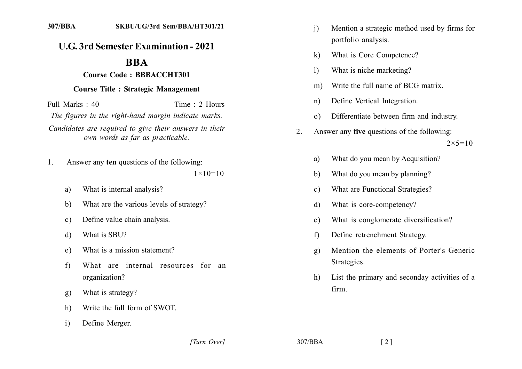## **U.G. 3rd Semester Examination - 2021**

## **BBA**

## **Course Code: BBBACCHT301**

## **Course Title: Strategic Management**

 $Full Marks: 40$  Time  $\cdot$  2 Hours *The figures in the right-hand margin indicate marks.* Candidates are required to give their answers in their *own words as far as practicable.* 

- 1. Answer any **ten** questions of the following:  $1 \times 10 = 10$ 
	- a) What is internal analysis?
	- b) What are the various levels of strategy?
	- c) Define value chain analysis.
	- d) What is SBU?
	- e) What is a mission statement?
	- f) What are internal resources for an organization?
	- g) What is strategy?
	- h) Write the full form of SWOT.
	- i) Define Merger.
- i) Mention a strategic method used by firms for portfolio analysis.
- k) What is Core Competence?
- 1) What is niche marketing?
- m) Write the full name of BCG matrix.
- n) Define Vertical Integration.
- o) Differentiate between firm and industry.
- 2. Answer any **five** questions of the following:  $2 \times 5 = 10$ 
	- a) What do you mean by Acquisition?
	- b) What do you mean by planning?
	- c) What are Functional Strategies?
	- d) What is core-competency?
	- e) What is conglomerate diversification?
	- f) Define retrenchment Strategy.
	- g) Mention the elements of Porter's Generic Strategies.
	- h) List the primary and seconday activities of a firm